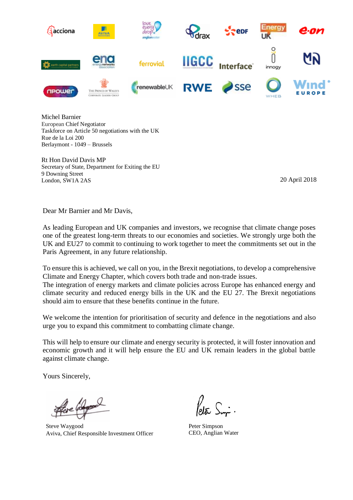

Michel Barnier European Chief Negotiator Taskforce on Article 50 negotiations with the UK Rue de la Loi 200 Berlaymont - 1049 – Brussels

Rt Hon David Davis MP Secretary of State, Department for Exiting the EU 9 Downing Street London, SW1A 2AS 20 April 2018

Dear Mr Barnier and Mr Davis,

As leading European and UK companies and investors, we recognise that climate change poses one of the greatest long-term threats to our economies and societies. We strongly urge both the UK and EU27 to commit to continuing to work together to meet the commitments set out in the Paris Agreement, in any future relationship.

To ensure this is achieved, we call on you, in the Brexit negotiations, to develop a comprehensive Climate and Energy Chapter, which covers both trade and non-trade issues.

The integration of energy markets and climate policies across Europe has enhanced energy and climate security and reduced energy bills in the UK and the EU 27. The Brexit negotiations should aim to ensure that these benefits continue in the future.

We welcome the intention for prioritisation of security and defence in the negotiations and also urge you to expand this commitment to combatting climate change.

This will help to ensure our climate and energy security is protected, it will foster innovation and economic growth and it will help ensure the EU and UK remain leaders in the global battle against climate change.

Yours Sincerely,

Steve Waygood Aviva, Chief Responsible Investment Officer

Peter Simpson CEO, Anglian Water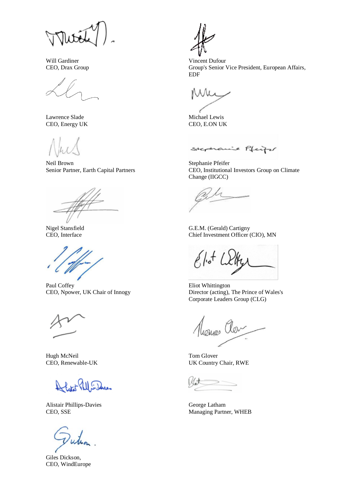Will Gardiner CEO, Drax Group

Lawrence Slade CEO, Energy UK

Neil Brown Senior Partner, Earth Capital Partners

Nigel Stansfield CEO, Interface

Paul Coffey CEO, Npower, UK Chair of Innogy

Hugh McNeil CEO, Renewable-UK

 $\mathcal{H} \mathbb{I}$  and

Alistair Phillips-Davies CEO, SSE

uh

Giles Dickson, CEO, WindEurope

Vincent Dufour Group's Senior Vice President, European Affairs, EDF

Michael Lewis CEO, E.ON UK

Stephanie Pfeiter

Stephanie Pfeifer CEO, Institutional Investors Group on Climate Change (IIGCC)

G.E.M. (Gerald) Cartigny Chief Investment Officer (CIO), MN

 $8/10^{+}$ 

Eliot Whittington Director (acting), The Prince of Wales's Corporate Leaders Group (CLG)

 $\chi_{\mathcal{Q} \vee}$ 

Tom Glover UK Country Chair, RWE

George Latham Managing Partner, WHEB